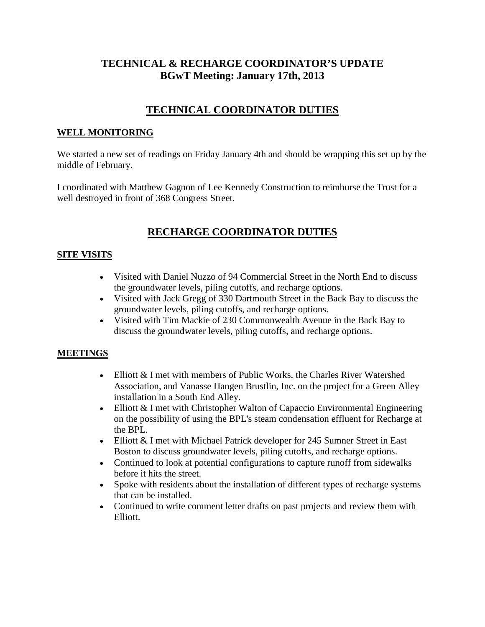### **TECHNICAL & RECHARGE COORDINATOR'S UPDATE BGwT Meeting: January 17th, 2013**

## **TECHNICAL COORDINATOR DUTIES**

### **WELL MONITORING**

We started a new set of readings on Friday January 4th and should be wrapping this set up by the middle of February.

I coordinated with Matthew Gagnon of Lee Kennedy Construction to reimburse the Trust for a well destroyed in front of 368 Congress Street.

# **RECHARGE COORDINATOR DUTIES**

### **SITE VISITS**

- Visited with Daniel Nuzzo of 94 Commercial Street in the North End to discuss the groundwater levels, piling cutoffs, and recharge options.
- Visited with Jack Gregg of 330 Dartmouth Street in the Back Bay to discuss the groundwater levels, piling cutoffs, and recharge options.
- Visited with Tim Mackie of 230 Commonwealth Avenue in the Back Bay to discuss the groundwater levels, piling cutoffs, and recharge options.

### **MEETINGS**

- Elliott & I met with members of Public Works, the Charles River Watershed Association, and Vanasse Hangen Brustlin, Inc. on the project for a Green Alley installation in a South End Alley.
- Elliott & I met with Christopher Walton of Capaccio Environmental Engineering on the possibility of using the BPL's steam condensation effluent for Recharge at the BPL.
- Elliott & I met with Michael Patrick developer for 245 Sumner Street in East Boston to discuss groundwater levels, piling cutoffs, and recharge options.
- Continued to look at potential configurations to capture runoff from sidewalks before it hits the street.
- Spoke with residents about the installation of different types of recharge systems that can be installed.
- Continued to write comment letter drafts on past projects and review them with Elliott.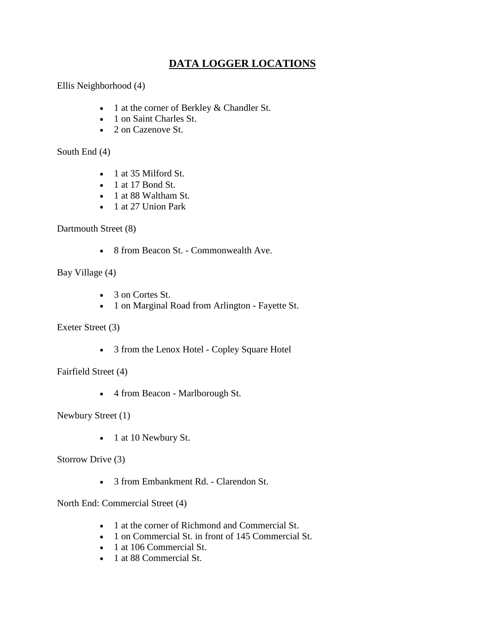## **DATA LOGGER LOCATIONS**

Ellis Neighborhood (4)

- 1 at the corner of Berkley & Chandler St.
- 1 on Saint Charles St.
- 2 on Cazenove St.

South End (4)

- 1 at 35 Milford St.
- 1 at 17 Bond St.
- 1 at 88 Waltham St.
- 1 at 27 Union Park

Dartmouth Street (8)

• 8 from Beacon St. - Commonwealth Ave.

Bay Village (4)

- 3 on Cortes St.
- 1 on Marginal Road from Arlington Fayette St.

Exeter Street (3)

• 3 from the Lenox Hotel - Copley Square Hotel

Fairfield Street (4)

• 4 from Beacon - Marlborough St.

Newbury Street (1)

• 1 at 10 Newbury St.

Storrow Drive (3)

• 3 from Embankment Rd. - Clarendon St.

North End: Commercial Street (4)

- 1 at the corner of Richmond and Commercial St.
- 1 on Commercial St. in front of 145 Commercial St.
- 1 at 106 Commercial St.
- 1 at 88 Commercial St.